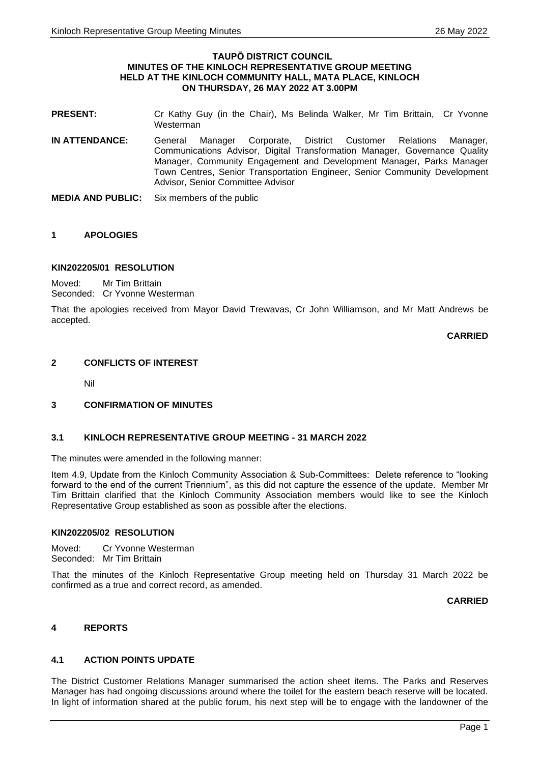#### **TAUPŌ DISTRICT COUNCIL MINUTES OF THE KINLOCH REPRESENTATIVE GROUP MEETING HELD AT THE KINLOCH COMMUNITY HALL, MATA PLACE, KINLOCH ON THURSDAY, 26 MAY 2022 AT 3.00PM**

- **PRESENT:** Cr Kathy Guy (in the Chair), Ms Belinda Walker, Mr Tim Brittain, Cr Yvonne Westerman
- **IN ATTENDANCE:** General Manager Corporate, District Customer Relations Manager, Communications Advisor, Digital Transformation Manager, Governance Quality Manager, Community Engagement and Development Manager, Parks Manager Town Centres, Senior Transportation Engineer, Senior Community Development Advisor, Senior Committee Advisor
- **MEDIA AND PUBLIC:** Six members of the public

# **1 APOLOGIES**

# **KIN202205/01 RESOLUTION**

Moved: Mr Tim Brittain Seconded: Cr Yvonne Westerman

That the apologies received from Mayor David Trewavas, Cr John Williamson, and Mr Matt Andrews be accepted.

**CARRIED**

# **2 CONFLICTS OF INTEREST**

Nil

# **3 CONFIRMATION OF MINUTES**

# **3.1 KINLOCH REPRESENTATIVE GROUP MEETING - 31 MARCH 2022**

The minutes were amended in the following manner:

Item 4.9, Update from the Kinloch Community Association & Sub-Committees: Delete reference to "looking forward to the end of the current Triennium", as this did not capture the essence of the update. Member Mr Tim Brittain clarified that the Kinloch Community Association members would like to see the Kinloch Representative Group established as soon as possible after the elections.

# **KIN202205/02 RESOLUTION**

Moved: Cr Yvonne Westerman Seconded: Mr Tim Brittain

That the minutes of the Kinloch Representative Group meeting held on Thursday 31 March 2022 be confirmed as a true and correct record, as amended.

**CARRIED**

# **4 REPORTS**

# **4.1 ACTION POINTS UPDATE**

The District Customer Relations Manager summarised the action sheet items. The Parks and Reserves Manager has had ongoing discussions around where the toilet for the eastern beach reserve will be located. In light of information shared at the public forum, his next step will be to engage with the landowner of the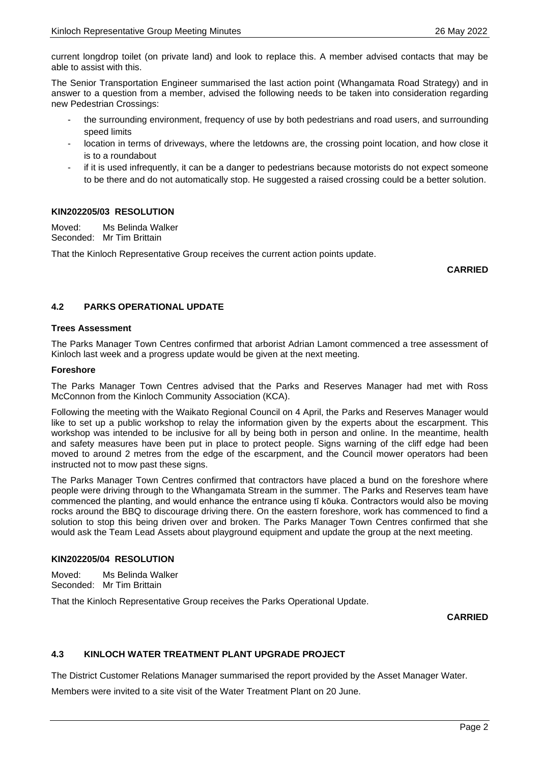current longdrop toilet (on private land) and look to replace this. A member advised contacts that may be able to assist with this.

The Senior Transportation Engineer summarised the last action point (Whangamata Road Strategy) and in answer to a question from a member, advised the following needs to be taken into consideration regarding new Pedestrian Crossings:

- the surrounding environment, frequency of use by both pedestrians and road users, and surrounding speed limits
- location in terms of driveways, where the letdowns are, the crossing point location, and how close it is to a roundabout
- if it is used infrequently, it can be a danger to pedestrians because motorists do not expect someone to be there and do not automatically stop. He suggested a raised crossing could be a better solution.

# **KIN202205/03 RESOLUTION**

Moved: Ms Belinda Walker Seconded: Mr Tim Brittain

That the Kinloch Representative Group receives the current action points update.

### **CARRIED**

# **4.2 PARKS OPERATIONAL UPDATE**

### **Trees Assessment**

The Parks Manager Town Centres confirmed that arborist Adrian Lamont commenced a tree assessment of Kinloch last week and a progress update would be given at the next meeting.

### **Foreshore**

The Parks Manager Town Centres advised that the Parks and Reserves Manager had met with Ross McConnon from the Kinloch Community Association (KCA).

Following the meeting with the Waikato Regional Council on 4 April, the Parks and Reserves Manager would like to set up a public workshop to relay the information given by the experts about the escarpment. This workshop was intended to be inclusive for all by being both in person and online. In the meantime, health and safety measures have been put in place to protect people. Signs warning of the cliff edge had been moved to around 2 metres from the edge of the escarpment, and the Council mower operators had been instructed not to mow past these signs.

The Parks Manager Town Centres confirmed that contractors have placed a bund on the foreshore where people were driving through to the Whangamata Stream in the summer. The Parks and Reserves team have commenced the planting, and would enhance the entrance using tī kōuka. Contractors would also be moving rocks around the BBQ to discourage driving there. On the eastern foreshore, work has commenced to find a solution to stop this being driven over and broken. The Parks Manager Town Centres confirmed that she would ask the Team Lead Assets about playground equipment and update the group at the next meeting.

# **KIN202205/04 RESOLUTION**

Moved: Ms Belinda Walker Seconded: Mr Tim Brittain

That the Kinloch Representative Group receives the Parks Operational Update.

**CARRIED**

# **4.3 KINLOCH WATER TREATMENT PLANT UPGRADE PROJECT**

The District Customer Relations Manager summarised the report provided by the Asset Manager Water.

Members were invited to a site visit of the Water Treatment Plant on 20 June.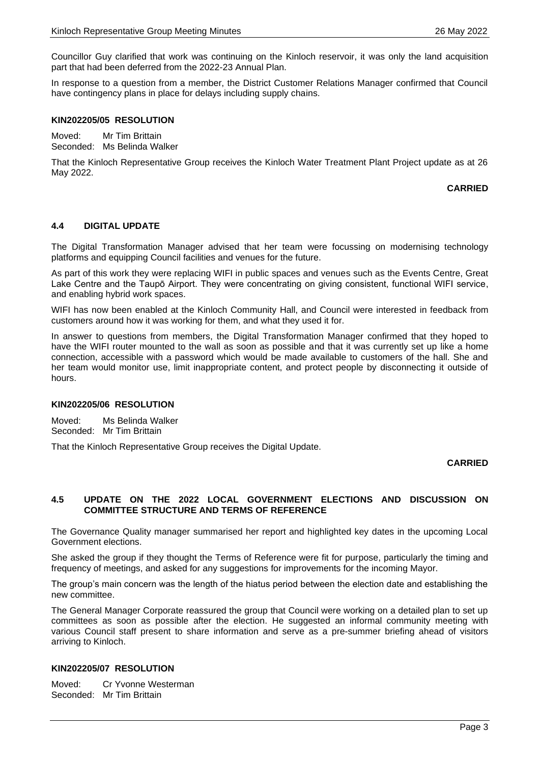Councillor Guy clarified that work was continuing on the Kinloch reservoir, it was only the land acquisition part that had been deferred from the 2022-23 Annual Plan.

In response to a question from a member, the District Customer Relations Manager confirmed that Council have contingency plans in place for delays including supply chains.

### **KIN202205/05 RESOLUTION**

Moved: Mr Tim Brittain Seconded: Ms Belinda Walker

That the Kinloch Representative Group receives the Kinloch Water Treatment Plant Project update as at 26 May 2022.

### **CARRIED**

# **4.4 DIGITAL UPDATE**

The Digital Transformation Manager advised that her team were focussing on modernising technology platforms and equipping Council facilities and venues for the future.

As part of this work they were replacing WIFI in public spaces and venues such as the Events Centre, Great Lake Centre and the Taupō Airport. They were concentrating on giving consistent, functional WIFI service, and enabling hybrid work spaces.

WIFI has now been enabled at the Kinloch Community Hall, and Council were interested in feedback from customers around how it was working for them, and what they used it for.

In answer to questions from members, the Digital Transformation Manager confirmed that they hoped to have the WIFI router mounted to the wall as soon as possible and that it was currently set up like a home connection, accessible with a password which would be made available to customers of the hall. She and her team would monitor use, limit inappropriate content, and protect people by disconnecting it outside of hours.

#### **KIN202205/06 RESOLUTION**

Moved: Ms Belinda Walker Seconded: Mr Tim Brittain

That the Kinloch Representative Group receives the Digital Update.

#### **CARRIED**

# **4.5 UPDATE ON THE 2022 LOCAL GOVERNMENT ELECTIONS AND DISCUSSION ON COMMITTEE STRUCTURE AND TERMS OF REFERENCE**

The Governance Quality manager summarised her report and highlighted key dates in the upcoming Local Government elections.

She asked the group if they thought the Terms of Reference were fit for purpose, particularly the timing and frequency of meetings, and asked for any suggestions for improvements for the incoming Mayor.

The group's main concern was the length of the hiatus period between the election date and establishing the new committee.

The General Manager Corporate reassured the group that Council were working on a detailed plan to set up committees as soon as possible after the election. He suggested an informal community meeting with various Council staff present to share information and serve as a pre-summer briefing ahead of visitors arriving to Kinloch.

#### **KIN202205/07 RESOLUTION**

Moved: Cr Yvonne Westerman Seconded: Mr Tim Brittain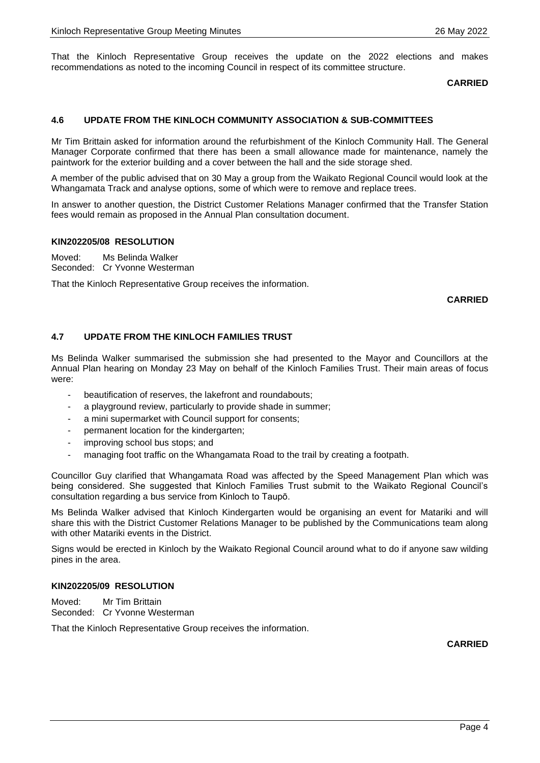That the Kinloch Representative Group receives the update on the 2022 elections and makes recommendations as noted to the incoming Council in respect of its committee structure.

### **CARRIED**

### **4.6 UPDATE FROM THE KINLOCH COMMUNITY ASSOCIATION & SUB-COMMITTEES**

Mr Tim Brittain asked for information around the refurbishment of the Kinloch Community Hall. The General Manager Corporate confirmed that there has been a small allowance made for maintenance, namely the paintwork for the exterior building and a cover between the hall and the side storage shed.

A member of the public advised that on 30 May a group from the Waikato Regional Council would look at the Whangamata Track and analyse options, some of which were to remove and replace trees.

In answer to another question, the District Customer Relations Manager confirmed that the Transfer Station fees would remain as proposed in the Annual Plan consultation document.

#### **KIN202205/08 RESOLUTION**

Moved: Ms Belinda Walker Seconded: Cr Yvonne Westerman

That the Kinloch Representative Group receives the information.

**CARRIED**

### **4.7 UPDATE FROM THE KINLOCH FAMILIES TRUST**

Ms Belinda Walker summarised the submission she had presented to the Mayor and Councillors at the Annual Plan hearing on Monday 23 May on behalf of the Kinloch Families Trust. Their main areas of focus were:

- beautification of reserves, the lakefront and roundabouts;
- a playground review, particularly to provide shade in summer;
- a mini supermarket with Council support for consents;
- permanent location for the kindergarten;
- improving school bus stops; and
- managing foot traffic on the Whangamata Road to the trail by creating a footpath.

Councillor Guy clarified that Whangamata Road was affected by the Speed Management Plan which was being considered. She suggested that Kinloch Families Trust submit to the Waikato Regional Council's consultation regarding a bus service from Kinloch to Taupō.

Ms Belinda Walker advised that Kinloch Kindergarten would be organising an event for Matariki and will share this with the District Customer Relations Manager to be published by the Communications team along with other Matariki events in the District.

Signs would be erected in Kinloch by the Waikato Regional Council around what to do if anyone saw wilding pines in the area.

# **KIN202205/09 RESOLUTION**

Moved: Mr Tim Brittain Seconded: Cr Yvonne Westerman

That the Kinloch Representative Group receives the information.

**CARRIED**